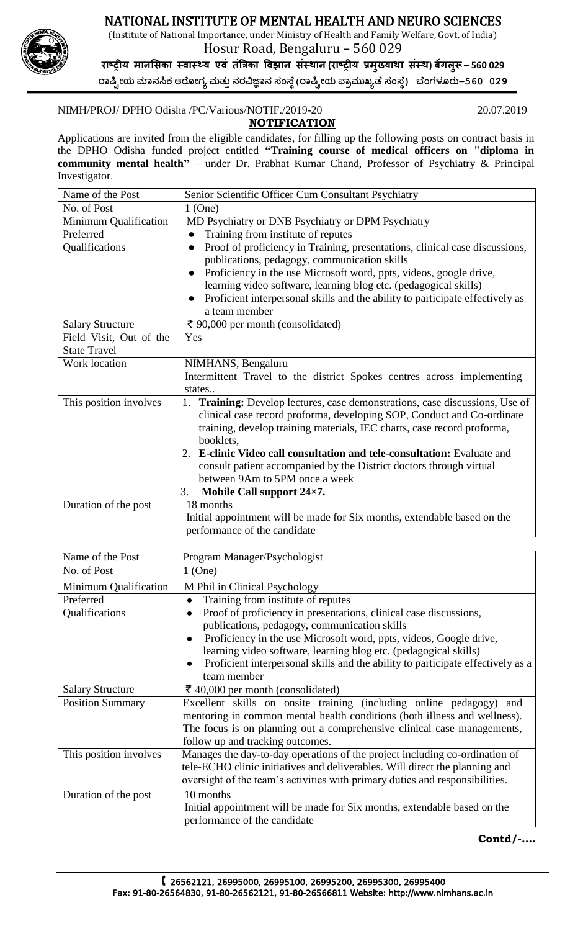



Hosur Road, Bengaluru – 560 029

**राष्ट्रीय मानसिका स्वास््य एवं तंत्रिका ववझान िंस्थान (राष्ट्रीय प्रमख्ु याथा िंस्थ) बेंगलरूु – 560 029 ರಾಷ್ಟ್ರೀಯ ಮಾನಸಿಕ ಆರ ೀಗ್ಯ ಮತ್ತುನರವಿಜ್ಞಾನ ಸಂಸ್ ೆ(ರಾಷ್ಟ್ರೀಯ ಪ್ಾಾಮತಖ್ಯತ ಸಂಸ್ ೆ) ಬ ಂಗ್ಳೂರತ–560 029**

## NIMH/PROJ/ DPHO Odisha /PC/Various/NOTIF./2019-20 20.07.2019

 **NOTIFICATION**  Applications are invited from the eligible candidates, for filling up the following posts on contract basis in the DPHO Odisha funded project entitled **"Training course of medical officers on "diploma in community mental health"** – under Dr. Prabhat Kumar Chand, Professor of Psychiatry & Principal Investigator.

| Name of the Post        | Senior Scientific Officer Cum Consultant Psychiatry                             |
|-------------------------|---------------------------------------------------------------------------------|
| No. of Post             | $1$ (One)                                                                       |
| Minimum Qualification   | MD Psychiatry or DNB Psychiatry or DPM Psychiatry                               |
| Preferred               | Training from institute of reputes                                              |
| Qualifications          | Proof of proficiency in Training, presentations, clinical case discussions,     |
|                         | publications, pedagogy, communication skills                                    |
|                         | Proficiency in the use Microsoft word, ppts, videos, google drive,              |
|                         | learning video software, learning blog etc. (pedagogical skills)                |
|                         | Proficient interpersonal skills and the ability to participate effectively as   |
|                         | a team member                                                                   |
| <b>Salary Structure</b> | ₹ 90,000 per month (consolidated)                                               |
| Field Visit, Out of the | Yes                                                                             |
| <b>State Travel</b>     |                                                                                 |
| Work location           | NIMHANS, Bengaluru                                                              |
|                         | Intermittent Travel to the district Spokes centres across implementing          |
|                         | states                                                                          |
| This position involves  | Training: Develop lectures, case demonstrations, case discussions, Use of<br>1. |
|                         | clinical case record proforma, developing SOP, Conduct and Co-ordinate          |
|                         | training, develop training materials, IEC charts, case record proforma,         |
|                         | booklets,                                                                       |
|                         | E-clinic Video call consultation and tele-consultation: Evaluate and<br>2.      |
|                         | consult patient accompanied by the District doctors through virtual             |
|                         | between 9Am to 5PM once a week                                                  |
|                         | Mobile Call support 24×7.<br>3.                                                 |
| Duration of the post    | 18 months                                                                       |
|                         | Initial appointment will be made for Six months, extendable based on the        |
|                         | performance of the candidate                                                    |

| Name of the Post        | Program Manager/Psychologist                                                                 |
|-------------------------|----------------------------------------------------------------------------------------------|
| No. of Post             | $1$ (One)                                                                                    |
| Minimum Qualification   | M Phil in Clinical Psychology                                                                |
| Preferred               | Training from institute of reputes                                                           |
| Qualifications          | Proof of proficiency in presentations, clinical case discussions,                            |
|                         | publications, pedagogy, communication skills                                                 |
|                         | Proficiency in the use Microsoft word, ppts, videos, Google drive,                           |
|                         | learning video software, learning blog etc. (pedagogical skills)                             |
|                         | Proficient interpersonal skills and the ability to participate effectively as a<br>$\bullet$ |
|                         | team member                                                                                  |
| <b>Salary Structure</b> | $\bar{\xi}$ 40,000 per month (consolidated)                                                  |
| <b>Position Summary</b> | Excellent skills on onsite training (including online pedagogy) and                          |
|                         | mentoring in common mental health conditions (both illness and wellness).                    |
|                         | The focus is on planning out a comprehensive clinical case managements,                      |
|                         | follow up and tracking outcomes.                                                             |
| This position involves  | Manages the day-to-day operations of the project including co-ordination of                  |
|                         | tele-ECHO clinic initiatives and deliverables. Will direct the planning and                  |
|                         | oversight of the team's activities with primary duties and responsibilities.                 |
| Duration of the post    | 10 months                                                                                    |
|                         | Initial appointment will be made for Six months, extendable based on the                     |
|                         | performance of the candidate                                                                 |

 **Contd/-….**